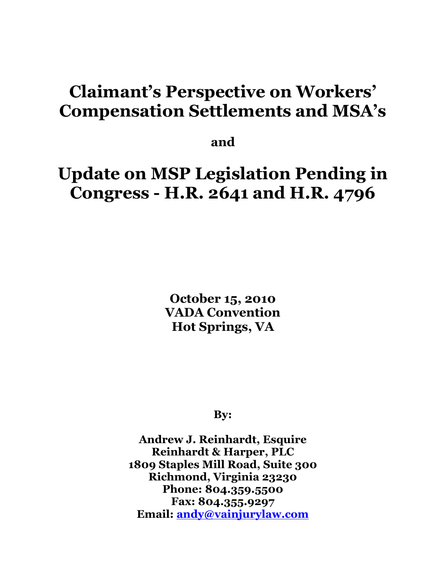## **Claimant's Perspective on Workers' Compensation Settlements and MSA's**

**and**

# **Update on MSP Legislation Pending in Congress - H.R. 2641 and H.R. 4796**

**October 15, 2010 VADA Convention Hot Springs, VA**

**By:**

**Andrew J. Reinhardt, Esquire Reinhardt & Harper, PLC 1809 Staples Mill Road, Suite 300 Richmond, Virginia 23230 Phone: 804.359.5500 Fax: 804.355.9297 Email: [andy@vainjurylaw.com](mailto:andy@vainjurylaw.com)**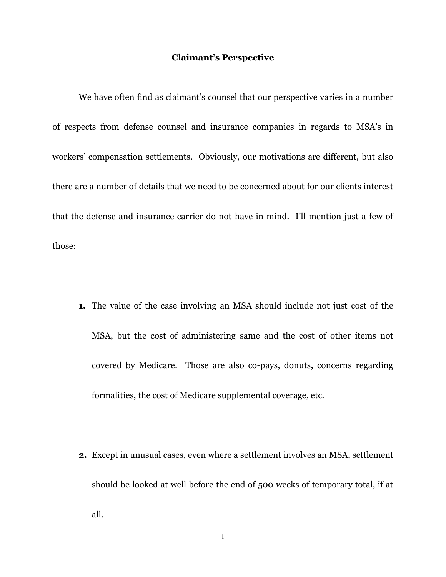#### **Claimant's Perspective**

We have often find as claimant's counsel that our perspective varies in a number of respects from defense counsel and insurance companies in regards to MSA's in workers' compensation settlements. Obviously, our motivations are different, but also there are a number of details that we need to be concerned about for our clients interest that the defense and insurance carrier do not have in mind. I'll mention just a few of those:

- **1.** The value of the case involving an MSA should include not just cost of the MSA, but the cost of administering same and the cost of other items not covered by Medicare. Those are also co-pays, donuts, concerns regarding formalities, the cost of Medicare supplemental coverage, etc.
- **2.** Except in unusual cases, even where a settlement involves an MSA, settlement should be looked at well before the end of 500 weeks of temporary total, if at all.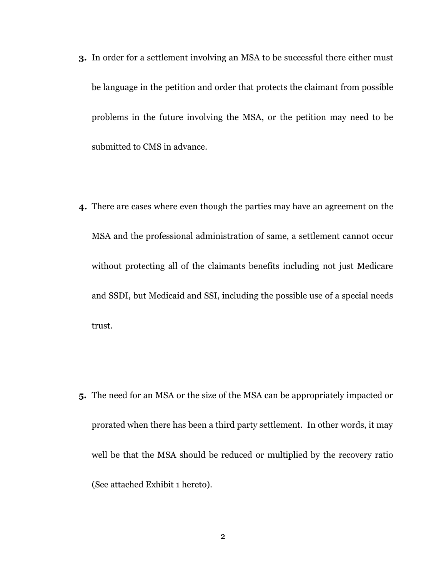- **3.** In order for a settlement involving an MSA to be successful there either must be language in the petition and order that protects the claimant from possible problems in the future involving the MSA, or the petition may need to be submitted to CMS in advance.
- **4.** There are cases where even though the parties may have an agreement on the MSA and the professional administration of same, a settlement cannot occur without protecting all of the claimants benefits including not just Medicare and SSDI, but Medicaid and SSI, including the possible use of a special needs trust.

**5.** The need for an MSA or the size of the MSA can be appropriately impacted or prorated when there has been a third party settlement. In other words, it may well be that the MSA should be reduced or multiplied by the recovery ratio (See attached Exhibit 1 hereto).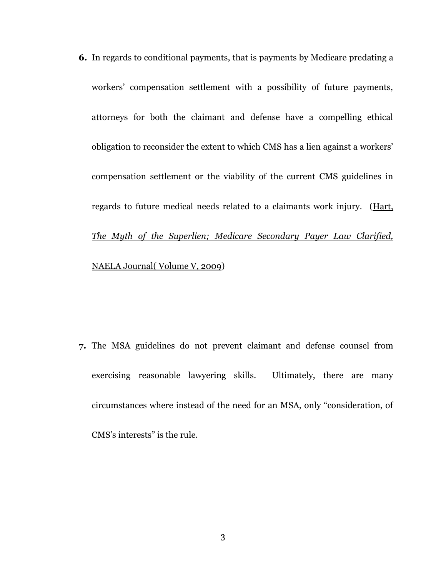**6.** In regards to conditional payments, that is payments by Medicare predating a workers' compensation settlement with a possibility of future payments, attorneys for both the claimant and defense have a compelling ethical obligation to reconsider the extent to which CMS has a lien against a workers' compensation settlement or the viability of the current CMS guidelines in regards to future medical needs related to a claimants work injury. (Hart, *The Myth of the Superlien; Medicare Secondary Payer Law Clarified,* NAELA Journal( Volume V, 2009)

**7.** The MSA guidelines do not prevent claimant and defense counsel from exercising reasonable lawyering skills. Ultimately, there are many circumstances where instead of the need for an MSA, only "consideration, of CMS's interests" is the rule.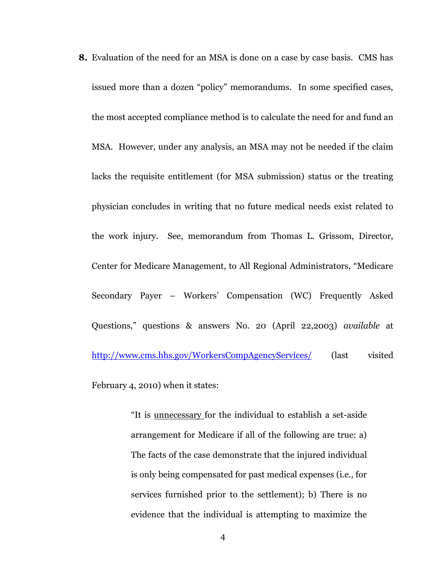**8.** Evaluation of the need for an MSA is done on a case by case basis. CMS has issued more than a dozen "policy" memorandums. In some specified cases, the most accepted compliance method is to calculate the need for and fund an MSA. However, under any analysis, an MSA may not be needed if the claim lacks the requisite entitlement (for MSA submission) status or the treating physician concludes in writing that no future medical needs exist related to the work injury. See, memorandum from Thomas L. Grissom, Director, Center for Medicare Management, to All Regional Administrators, "Medicare Secondary Payer – Workers' Compensation (WC) Frequently Asked Questions," questions & answers No. 20 (April 22,2003) *available* at <http://www.cms.hhs.gov/WorkersCompAgencyServices/> (last visited

February 4, 2010) when it states:

"It is unnecessary for the individual to establish a set-aside arrangement for Medicare if all of the following are true: a) The facts of the case demonstrate that the injured individual is only being compensated for past medical expenses (i.e., for services furnished prior to the settlement); b) There is no evidence that the individual is attempting to maximize the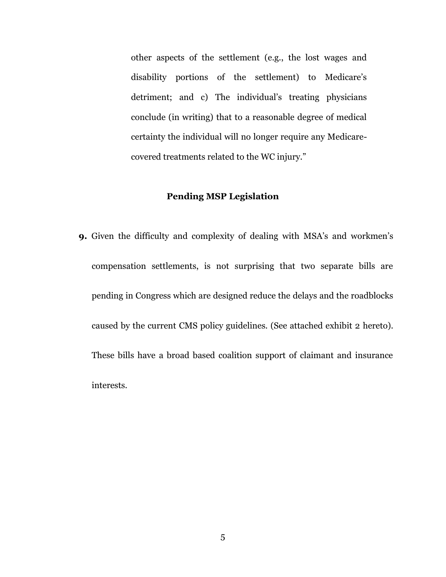other aspects of the settlement (e.g., the lost wages and disability portions of the settlement) to Medicare's detriment; and c) The individual's treating physicians conclude (in writing) that to a reasonable degree of medical certainty the individual will no longer require any Medicarecovered treatments related to the WC injury."

#### **Pending MSP Legislation**

**9.** Given the difficulty and complexity of dealing with MSA's and workmen's compensation settlements, is not surprising that two separate bills are pending in Congress which are designed reduce the delays and the roadblocks caused by the current CMS policy guidelines. (See attached exhibit 2 hereto). These bills have a broad based coalition support of claimant and insurance interests.